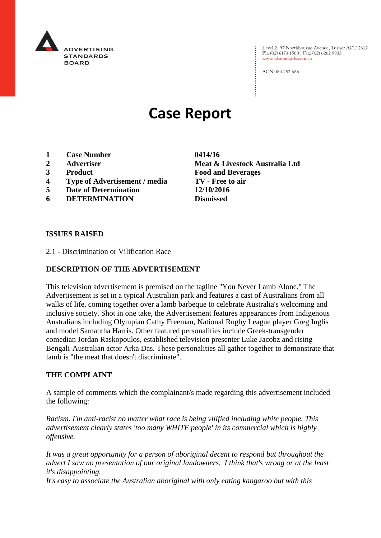

Level 2, 97 Northbourne Avenue, Turner ACT 2612 Ph: (02) 6173 1500 | Fax: (02) 6262 9833 www.adstandards.com.au

ACN 084 452 666

# **Case Report**

- **1 Case Number 0414/16**
- 
- 
- **4 Type of Advertisement / media TV - Free to air**
- **5 Date of Determination 12/10/2016**
- **6 DETERMINATION Dismissed**

**2 Advertiser Meat & Livestock Australia Ltd 3 Product Food and Beverages**

#### **ISSUES RAISED**

2.1 - Discrimination or Vilification Race

## **DESCRIPTION OF THE ADVERTISEMENT**

This television advertisement is premised on the tagline "You Never Lamb Alone." The Advertisement is set in a typical Australian park and features a cast of Australians from all walks of life, coming together over a lamb barbeque to celebrate Australia's welcoming and inclusive society. Shot in one take, the Advertisement features appearances from Indigenous Australians including Olympian Cathy Freeman, National Rugby League player Greg Inglis and model Samantha Harris. Other featured personalities include Greek-transgender comedian Jordan Raskopoulos, established television presenter Luke Jacobz and rising Bengali-Australian actor Arka Das. These personalities all gather together to demonstrate that lamb is "the meat that doesn't discriminate".

#### **THE COMPLAINT**

A sample of comments which the complainant/s made regarding this advertisement included the following:

*Racism. I'm anti-racist no matter what race is being vilified including white people. This advertisement clearly states 'too many WHITE people' in its commercial which is highly offensive.*

*It was a great opportunity for a person of aboriginal decent to respond but throughout the advert I saw no presentation of our original landowners. I think that's wrong or at the least it's disappointing.*

*It's easy to associate the Australian aboriginal with only eating kangaroo but with this*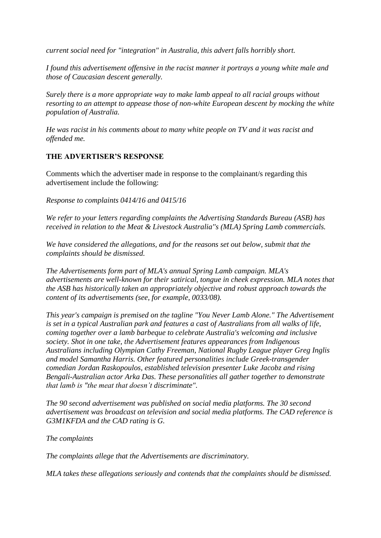*current social need for "integration" in Australia, this advert falls horribly short.*

*I found this advertisement offensive in the racist manner it portrays a young white male and those of Caucasian descent generally.*

*Surely there is a more appropriate way to make lamb appeal to all racial groups without resorting to an attempt to appease those of non-white European descent by mocking the white population of Australia.*

*He was racist in his comments about to many white people on TV and it was racist and offended me.*

## **THE ADVERTISER'S RESPONSE**

Comments which the advertiser made in response to the complainant/s regarding this advertisement include the following:

*Response to complaints 0414/16 and 0415/16*

*We refer to your letters regarding complaints the Advertising Standards Bureau (ASB) has received in relation to the Meat & Livestock Australia''s (MLA) Spring Lamb commercials.*

*We have considered the allegations, and for the reasons set out below, submit that the complaints should be dismissed.*

*The Advertisements form part of MLA's annual Spring Lamb campaign. MLA's advertisements are well-known for their satirical, tongue in cheek expression. MLA notes that the ASB has historically taken an appropriately objective and robust approach towards the content of its advertisements (see, for example, 0033/08).*

*This year's campaign is premised on the tagline "You Never Lamb Alone." The Advertisement is set in a typical Australian park and features a cast of Australians from all walks of life, coming together over a lamb barbeque to celebrate Australia's welcoming and inclusive society. Shot in one take, the Advertisement features appearances from Indigenous Australians including Olympian Cathy Freeman, National Rugby League player Greg Inglis and model Samantha Harris. Other featured personalities include Greek-transgender comedian Jordan Raskopoulos, established television presenter Luke Jacobz and rising Bengali-Australian actor Arka Das. These personalities all gather together to demonstrate that lamb is "the meat that doesn't discriminate".*

*The 90 second advertisement was published on social media platforms. The 30 second advertisement was broadcast on television and social media platforms. The CAD reference is G3M1KFDA and the CAD rating is G.*

*The complaints*

*The complaints allege that the Advertisements are discriminatory.*

*MLA takes these allegations seriously and contends that the complaints should be dismissed.*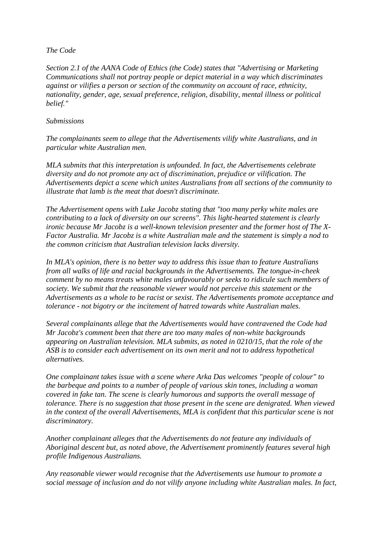## *The Code*

*Section 2.1 of the AANA Code of Ethics (the Code) states that "Advertising or Marketing Communications shall not portray people or depict material in a way which discriminates against or vilifies a person or section of the community on account of race, ethnicity, nationality, gender, age, sexual preference, religion, disability, mental illness or political belief."*

## *Submissions*

*The complainants seem to allege that the Advertisements vilify white Australians, and in particular white Australian men.*

*MLA submits that this interpretation is unfounded. In fact, the Advertisements celebrate diversity and do not promote any act of discrimination, prejudice or vilification. The Advertisements depict a scene which unites Australians from all sections of the community to illustrate that lamb is the meat that doesn't discriminate.*

*The Advertisement opens with Luke Jacobz stating that "too many perky white males are contributing to a lack of diversity on our screens". This light-hearted statement is clearly ironic because Mr Jacobz is a well-known television presenter and the former host of The X-Factor Australia. Mr Jacobz is a white Australian male and the statement is simply a nod to the common criticism that Australian television lacks diversity.*

*In MLA's opinion, there is no better way to address this issue than to feature Australians from all walks of life and racial backgrounds in the Advertisements. The tongue-in-cheek comment by no means treats white males unfavourably or seeks to ridicule such members of society. We submit that the reasonable viewer would not perceive this statement or the Advertisements as a whole to be racist or sexist. The Advertisements promote acceptance and tolerance - not bigotry or the incitement of hatred towards white Australian males.*

*Several complainants allege that the Advertisements would have contravened the Code had Mr Jacobz's comment been that there are too many males of non-white backgrounds appearing on Australian television. MLA submits, as noted in 0210/15, that the role of the ASB is to consider each advertisement on its own merit and not to address hypothetical alternatives.*

*One complainant takes issue with a scene where Arka Das welcomes "people of colour" to the barbeque and points to a number of people of various skin tones, including a woman covered in fake tan. The scene is clearly humorous and supports the overall message of tolerance. There is no suggestion that those present in the scene are denigrated. When viewed in the context of the overall Advertisements, MLA is confident that this particular scene is not discriminatory.*

*Another complainant alleges that the Advertisements do not feature any individuals of Aboriginal descent but, as noted above, the Advertisement prominently features several high profile Indigenous Australians.*

*Any reasonable viewer would recognise that the Advertisements use humour to promote a social message of inclusion and do not vilify anyone including white Australian males. In fact,*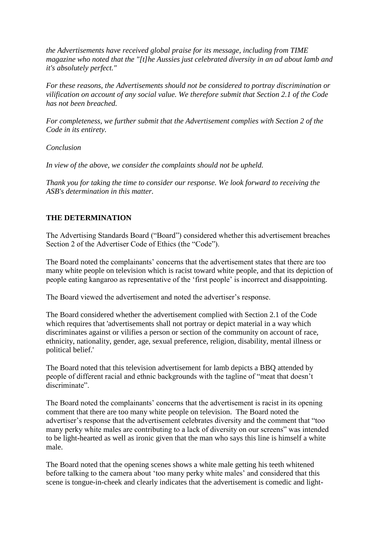*the Advertisements have received global praise for its message, including from TIME magazine who noted that the "[t]he Aussies just celebrated diversity in an ad about lamb and it's absolutely perfect."*

*For these reasons, the Advertisements should not be considered to portray discrimination or vilification on account of any social value. We therefore submit that Section 2.1 of the Code has not been breached.*

*For completeness, we further submit that the Advertisement complies with Section 2 of the Code in its entirety.*

*Conclusion*

*In view of the above, we consider the complaints should not be upheld.*

*Thank you for taking the time to consider our response. We look forward to receiving the ASB's determination in this matter.*

## **THE DETERMINATION**

The Advertising Standards Board ("Board") considered whether this advertisement breaches Section 2 of the Advertiser Code of Ethics (the "Code").

The Board noted the complainants' concerns that the advertisement states that there are too many white people on television which is racist toward white people, and that its depiction of people eating kangaroo as representative of the 'first people' is incorrect and disappointing.

The Board viewed the advertisement and noted the advertiser's response.

The Board considered whether the advertisement complied with Section 2.1 of the Code which requires that 'advertisements shall not portray or depict material in a way which discriminates against or vilifies a person or section of the community on account of race, ethnicity, nationality, gender, age, sexual preference, religion, disability, mental illness or political belief.'

The Board noted that this television advertisement for lamb depicts a BBQ attended by people of different racial and ethnic backgrounds with the tagline of "meat that doesn't discriminate".

The Board noted the complainants' concerns that the advertisement is racist in its opening comment that there are too many white people on television. The Board noted the advertiser's response that the advertisement celebrates diversity and the comment that "too many perky white males are contributing to a lack of diversity on our screens" was intended to be light-hearted as well as ironic given that the man who says this line is himself a white male.

The Board noted that the opening scenes shows a white male getting his teeth whitened before talking to the camera about 'too many perky white males' and considered that this scene is tongue-in-cheek and clearly indicates that the advertisement is comedic and light